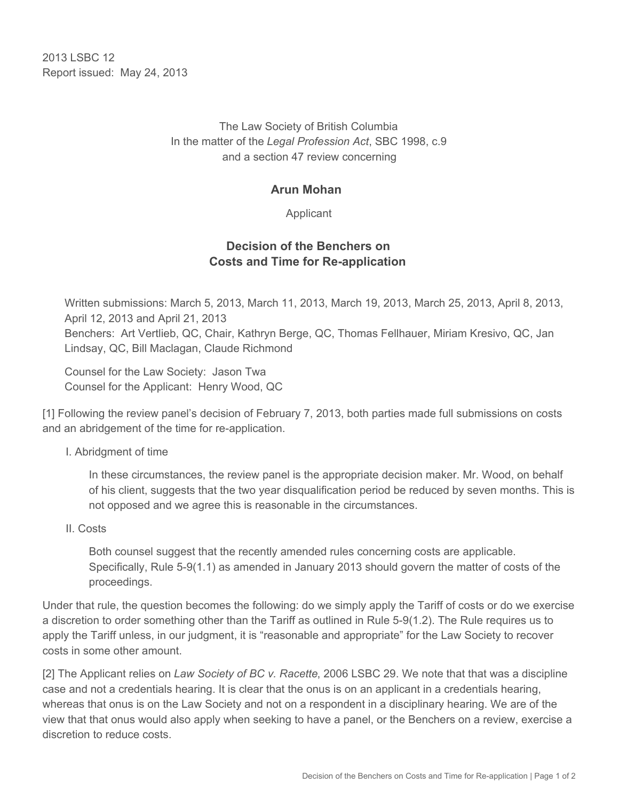2013 LSBC 12 Report issued: May 24, 2013

> The Law Society of British Columbia In the matter of the *Legal Profession Act*, SBC 1998, c.9 and a section 47 review concerning

## **Arun Mohan**

Applicant

# **Decision of the Benchers on Costs and Time for Re-application**

Written submissions: March 5, 2013, March 11, 2013, March 19, 2013, March 25, 2013, April 8, 2013, April 12, 2013 and April 21, 2013 Benchers: Art Vertlieb, QC, Chair, Kathryn Berge, QC, Thomas Fellhauer, Miriam Kresivo, QC, Jan Lindsay, QC, Bill Maclagan, Claude Richmond

Counsel for the Law Society: Jason Twa Counsel for the Applicant: Henry Wood, QC

[1] Following the review panel's decision of February 7, 2013, both parties made full submissions on costs and an abridgement of the time for re-application.

#### I. Abridgment of time

In these circumstances, the review panel is the appropriate decision maker. Mr. Wood, on behalf of his client, suggests that the two year disqualification period be reduced by seven months. This is not opposed and we agree this is reasonable in the circumstances.

#### II. Costs

Both counsel suggest that the recently amended rules concerning costs are applicable. Specifically, Rule 5-9(1.1) as amended in January 2013 should govern the matter of costs of the proceedings.

Under that rule, the question becomes the following: do we simply apply the Tariff of costs or do we exercise a discretion to order something other than the Tariff as outlined in Rule 5-9(1.2). The Rule requires us to apply the Tariff unless, in our judgment, it is "reasonable and appropriate" for the Law Society to recover costs in some other amount.

[2] The Applicant relies on *Law Society of BC v. Racette*, 2006 LSBC 29. We note that that was a discipline case and not a credentials hearing. It is clear that the onus is on an applicant in a credentials hearing, whereas that onus is on the Law Society and not on a respondent in a disciplinary hearing. We are of the view that that onus would also apply when seeking to have a panel, or the Benchers on a review, exercise a discretion to reduce costs.